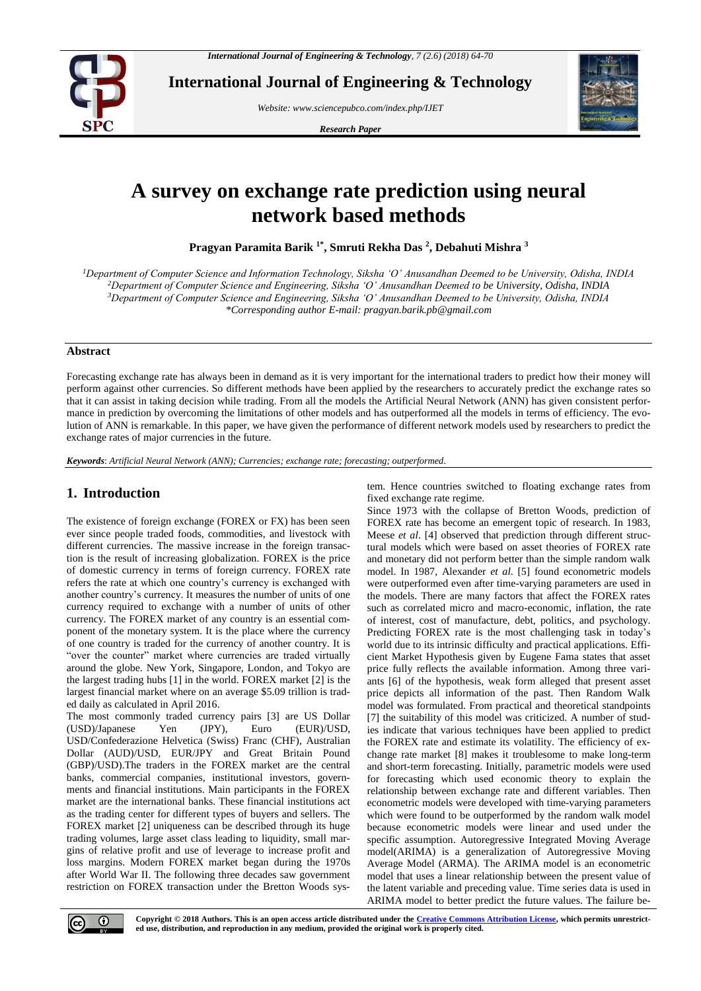

**International Journal of Engineering & Technology**

*Website: www.sciencepubco.com/index.php/IJET*

*Research Paper*



# **A survey on exchange rate prediction using neural network based methods**

**Pragyan Paramita Barik 1\* , Smruti Rekha Das <sup>2</sup> , Debahuti Mishra <sup>3</sup>**

*Department of Computer Science and Information Technology, Siksha 'O' Anusandhan Deemed to be University, Odisha, INDIA Department of Computer Science and Engineering, Siksha 'O' Anusandhan Deemed to be University, Odisha, INDIA Department of Computer Science and Engineering, Siksha 'O' Anusandhan Deemed to be University, Odisha, INDIA \*Corresponding author E-mail: pragyan.barik.pb@gmail.com*

#### **Abstract**

Forecasting exchange rate has always been in demand as it is very important for the international traders to predict how their money will perform against other currencies. So different methods have been applied by the researchers to accurately predict the exchange rates so that it can assist in taking decision while trading. From all the models the Artificial Neural Network (ANN) has given consistent performance in prediction by overcoming the limitations of other models and has outperformed all the models in terms of efficiency. The evolution of ANN is remarkable. In this paper, we have given the performance of different network models used by researchers to predict the exchange rates of major currencies in the future.

*Keywords*: *Artificial Neural Network (ANN); Currencies; exchange rate; forecasting; outperformed.*

# **1. Introduction**

The existence of foreign exchange (FOREX or FX) has been seen ever since people traded foods, commodities, and livestock with different currencies. The massive increase in the foreign transaction is the result of increasing globalization. FOREX is the price of domestic currency in terms of foreign currency. FOREX rate refers the rate at which one country's currency is exchanged with another country's currency. It measures the number of units of one currency required to exchange with a number of units of other currency. The FOREX market of any country is an essential component of the monetary system. It is the place where the currency of one country is traded for the currency of another country. It is "over the counter" market where currencies are traded virtually around the globe. New York, Singapore, London, and Tokyo are the largest trading hubs [1] in the world. FOREX market [2] is the largest financial market where on an average \$5.09 trillion is traded daily as calculated in April 2016.

The most commonly traded currency pairs [3] are US Dollar (USD)/Japanese Yen (JPY), Euro (EUR)/USD, USD/Confederazione Helvetica (Swiss) Franc (CHF), Australian Dollar (AUD)/USD, EUR/JPY and Great Britain Pound (GBP)/USD).The traders in the FOREX market are the central banks, commercial companies, institutional investors, governments and financial institutions. Main participants in the FOREX market are the international banks. These financial institutions act as the trading center for different types of buyers and sellers. The FOREX market [2] uniqueness can be described through its huge trading volumes, large asset class leading to liquidity, small margins of relative profit and use of leverage to increase profit and loss margins. Modern FOREX market began during the 1970s after World War II. The following three decades saw government restriction on FOREX transaction under the Bretton Woods system. Hence countries switched to floating exchange rates from fixed exchange rate regime.

Since 1973 with the collapse of Bretton Woods, prediction of FOREX rate has become an emergent topic of research. In 1983, Meese *et al*. [4] observed that prediction through different structural models which were based on asset theories of FOREX rate and monetary did not perform better than the simple random walk model. In 1987, Alexander *et al*. [5] found econometric models were outperformed even after time-varying parameters are used in the models. There are many factors that affect the FOREX rates such as correlated micro and macro-economic, inflation, the rate of interest, cost of manufacture, debt, politics, and psychology. Predicting FOREX rate is the most challenging task in today's world due to its intrinsic difficulty and practical applications. Efficient Market Hypothesis given by Eugene Fama states that asset price fully reflects the available information. Among three variants [6] of the hypothesis, weak form alleged that present asset price depicts all information of the past. Then Random Walk model was formulated. From practical and theoretical standpoints [7] the suitability of this model was criticized. A number of studies indicate that various techniques have been applied to predict the FOREX rate and estimate its volatility. The efficiency of exchange rate market [8] makes it troublesome to make long-term and short-term forecasting. Initially, parametric models were used for forecasting which used economic theory to explain the relationship between exchange rate and different variables. Then econometric models were developed with time-varying parameters which were found to be outperformed by the random walk model because econometric models were linear and used under the specific assumption. Autoregressive Integrated Moving Average model(ARIMA) is a generalization of Autoregressive Moving Average Model (ARMA). The ARIMA model is an econometric model that uses a linear relationship between the present value of the latent variable and preceding value. Time series data is used in ARIMA model to better predict the future values. The failure be-



**Copyright © 2018 Authors. This is an open access article distributed under the [Creative Commons Attribution License,](http://creativecommons.org/licenses/by/3.0/) which permits unrestricted use, distribution, and reproduction in any medium, provided the original work is properly cited.**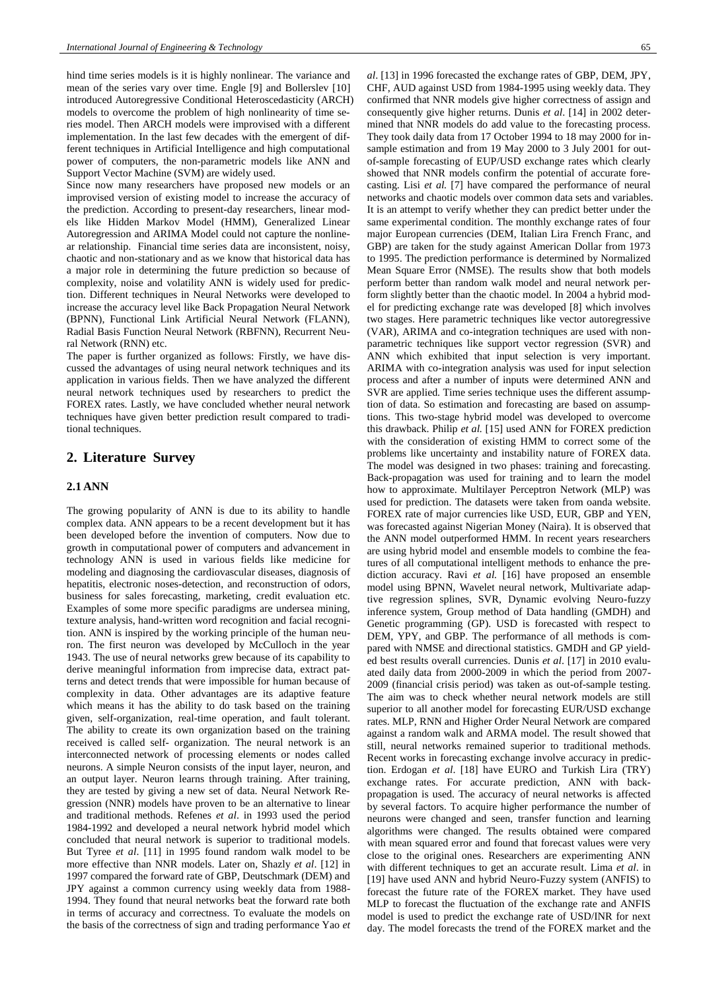hind time series models is it is highly nonlinear. The variance and mean of the series vary over time. Engle [9] and Bollerslev [10] introduced Autoregressive Conditional Heteroscedasticity (ARCH) models to overcome the problem of high nonlinearity of time series model. Then ARCH models were improvised with a different implementation. In the last few decades with the emergent of different techniques in Artificial Intelligence and high computational power of computers, the non-parametric models like ANN and Support Vector Machine (SVM) are widely used.

Since now many researchers have proposed new models or an improvised version of existing model to increase the accuracy of the prediction. According to present-day researchers, linear models like Hidden Markov Model (HMM), Generalized Linear Autoregression and ARIMA Model could not capture the nonlinear relationship. Financial time series data are inconsistent, noisy, chaotic and non-stationary and as we know that historical data has a major role in determining the future prediction so because of complexity, noise and volatility ANN is widely used for prediction. Different techniques in Neural Networks were developed to increase the accuracy level like Back Propagation Neural Network (BPNN), Functional Link Artificial Neural Network (FLANN), Radial Basis Function Neural Network (RBFNN), Recurrent Neural Network (RNN) etc.

The paper is further organized as follows: Firstly, we have discussed the advantages of using neural network techniques and its application in various fields. Then we have analyzed the different neural network techniques used by researchers to predict the FOREX rates. Lastly, we have concluded whether neural network techniques have given better prediction result compared to traditional techniques.

# **2. Literature Survey**

#### **2.1 ANN**

The growing popularity of ANN is due to its ability to handle complex data. ANN appears to be a recent development but it has been developed before the invention of computers. Now due to growth in computational power of computers and advancement in technology ANN is used in various fields like medicine for modeling and diagnosing the cardiovascular diseases, diagnosis of hepatitis, electronic noses-detection, and reconstruction of odors, business for sales forecasting, marketing, credit evaluation etc. Examples of some more specific paradigms are undersea mining, texture analysis, hand-written word recognition and facial recognition. ANN is inspired by the working principle of the human neuron. The first neuron was developed by McCulloch in the year 1943. The use of neural networks grew because of its capability to derive meaningful information from imprecise data, extract patterns and detect trends that were impossible for human because of complexity in data. Other advantages are its adaptive feature which means it has the ability to do task based on the training given, self-organization, real-time operation, and fault tolerant. The ability to create its own organization based on the training received is called self- organization. The neural network is an interconnected network of processing elements or nodes called neurons. A simple Neuron consists of the input layer, neuron, and an output layer. Neuron learns through training. After training, they are tested by giving a new set of data. Neural Network Regression (NNR) models have proven to be an alternative to linear and traditional methods. Refenes *et al*. in 1993 used the period 1984-1992 and developed a neural network hybrid model which concluded that neural network is superior to traditional models. But Tyree *et al*. [11] in 1995 found random walk model to be more effective than NNR models. Later on, Shazly *et al*. [12] in 1997 compared the forward rate of GBP, Deutschmark (DEM) and JPY against a common currency using weekly data from 1988- 1994. They found that neural networks beat the forward rate both in terms of accuracy and correctness. To evaluate the models on the basis of the correctness of sign and trading performance Yao *et*  *al*. [13] in 1996 forecasted the exchange rates of GBP, DEM, JPY, CHF, AUD against USD from 1984-1995 using weekly data. They confirmed that NNR models give higher correctness of assign and consequently give higher returns. Dunis *et al*. [14] in 2002 determined that NNR models do add value to the forecasting process. They took daily data from 17 October 1994 to 18 may 2000 for insample estimation and from 19 May 2000 to 3 July 2001 for outof-sample forecasting of EUP/USD exchange rates which clearly showed that NNR models confirm the potential of accurate forecasting. Lisi *et al.* [7] have compared the performance of neural networks and chaotic models over common data sets and variables. It is an attempt to verify whether they can predict better under the same experimental condition. The monthly exchange rates of four major European currencies (DEM, Italian Lira French Franc, and GBP) are taken for the study against American Dollar from 1973 to 1995. The prediction performance is determined by Normalized Mean Square Error (NMSE). The results show that both models perform better than random walk model and neural network perform slightly better than the chaotic model. In 2004 a hybrid model for predicting exchange rate was developed [8] which involves two stages. Here parametric techniques like vector autoregressive (VAR), ARIMA and co-integration techniques are used with nonparametric techniques like support vector regression (SVR) and ANN which exhibited that input selection is very important. ARIMA with co-integration analysis was used for input selection process and after a number of inputs were determined ANN and SVR are applied. Time series technique uses the different assumption of data. So estimation and forecasting are based on assumptions. This two-stage hybrid model was developed to overcome this drawback. Philip *et al.* [15] used ANN for FOREX prediction with the consideration of existing HMM to correct some of the problems like uncertainty and instability nature of FOREX data. The model was designed in two phases: training and forecasting. Back-propagation was used for training and to learn the model how to approximate. Multilayer Perceptron Network (MLP) was used for prediction. The datasets were taken from oanda website. FOREX rate of major currencies like USD, EUR, GBP and YEN, was forecasted against Nigerian Money (Naira). It is observed that the ANN model outperformed HMM. In recent years researchers are using hybrid model and ensemble models to combine the features of all computational intelligent methods to enhance the prediction accuracy. Ravi *et al.* [16] have proposed an ensemble model using BPNN, Wavelet neural network, Multivariate adaptive regression splines, SVR, Dynamic evolving Neuro-fuzzy inference system, Group method of Data handling (GMDH) and Genetic programming (GP). USD is forecasted with respect to DEM, YPY, and GBP. The performance of all methods is compared with NMSE and directional statistics. GMDH and GP yielded best results overall currencies. Dunis *et al*. [17] in 2010 evaluated daily data from 2000-2009 in which the period from 2007- 2009 (financial crisis period) was taken as out-of-sample testing. The aim was to check whether neural network models are still superior to all another model for forecasting EUR/USD exchange rates. MLP, RNN and Higher Order Neural Network are compared against a random walk and ARMA model. The result showed that still, neural networks remained superior to traditional methods. Recent works in forecasting exchange involve accuracy in prediction. Erdogan *et al*. [18] have EURO and Turkish Lira (TRY) exchange rates. For accurate prediction, ANN with backpropagation is used. The accuracy of neural networks is affected by several factors. To acquire higher performance the number of neurons were changed and seen, transfer function and learning algorithms were changed. The results obtained were compared with mean squared error and found that forecast values were very close to the original ones. Researchers are experimenting ANN with different techniques to get an accurate result. Lima *et al*. in [19] have used ANN and hybrid Neuro-Fuzzy system (ANFIS) to forecast the future rate of the FOREX market. They have used MLP to forecast the fluctuation of the exchange rate and ANFIS model is used to predict the exchange rate of USD/INR for next day. The model forecasts the trend of the FOREX market and the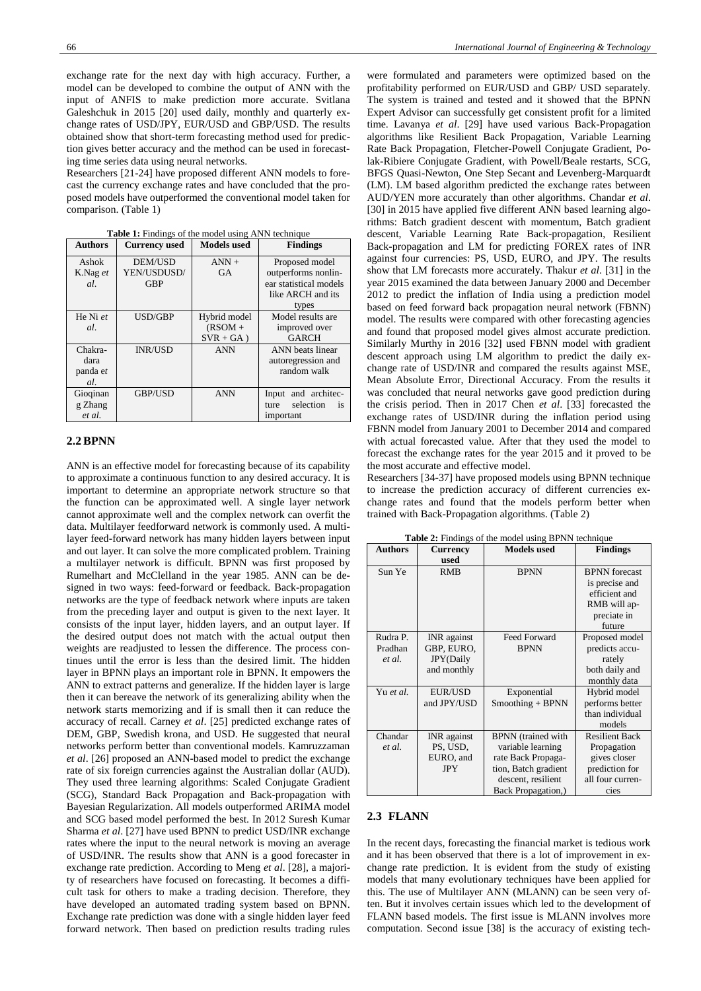exchange rate for the next day with high accuracy. Further, a model can be developed to combine the output of ANN with the input of ANFIS to make prediction more accurate. Svitlana Galeshchuk in 2015 [20] used daily, monthly and quarterly exchange rates of USD/JPY, EUR/USD and GBP/USD. The results obtained show that short-term forecasting method used for prediction gives better accuracy and the method can be used in forecasting time series data using neural networks.

Researchers [21-24] have proposed different ANN models to forecast the currency exchange rates and have concluded that the proposed models have outperformed the conventional model taken for comparison. (Table 1)

| <b>Authors</b> | <b>Currency used</b> | <b>Models</b> used | <b>Findings</b>                    |
|----------------|----------------------|--------------------|------------------------------------|
| Ashok          | <b>DEM/USD</b>       | $ANN +$            | Proposed model                     |
| K.Nag et       | YEN/USDUSD/          | GA                 | outperforms nonlin-                |
| al.            | <b>GBP</b>           |                    | ear statistical models             |
|                |                      |                    | like ARCH and its                  |
|                |                      |                    | types                              |
| He Ni et       | USD/GBP              | Hybrid model       | Model results are                  |
| al.            |                      | $(RSOM +$          | improved over                      |
|                |                      | $SVR + GA$ )       | <b>GARCH</b>                       |
| Chakra-        | <b>INR/USD</b>       | <b>ANN</b>         | <b>ANN</b> beats linear            |
| dara           |                      |                    | autoregression and                 |
| panda et       |                      |                    | random walk                        |
| al.            |                      |                    |                                    |
| Gioginan       | GBP/USD              | <b>ANN</b>         | and architec-<br>Input             |
| g Zhang        |                      |                    | selection<br>ture<br><sup>is</sup> |
| et al.         |                      |                    | important                          |

**Table 1:** Findings of the model using ANN technique

#### **2.2 BPNN**

ANN is an effective model for forecasting because of its capability to approximate a continuous function to any desired accuracy. It is important to determine an appropriate network structure so that the function can be approximated well. A single layer network cannot approximate well and the complex network can overfit the data. Multilayer feedforward network is commonly used. A multilayer feed-forward network has many hidden layers between input and out layer. It can solve the more complicated problem. Training a multilayer network is difficult. BPNN was first proposed by Rumelhart and McClelland in the year 1985. ANN can be designed in two ways: feed-forward or feedback. Back-propagation networks are the type of feedback network where inputs are taken from the preceding layer and output is given to the next layer. It consists of the input layer, hidden layers, and an output layer. If the desired output does not match with the actual output then weights are readjusted to lessen the difference. The process continues until the error is less than the desired limit. The hidden layer in BPNN plays an important role in BPNN. It empowers the ANN to extract patterns and generalize. If the hidden layer is large then it can bereave the network of its generalizing ability when the network starts memorizing and if is small then it can reduce the accuracy of recall. Carney *et al*. [25] predicted exchange rates of DEM, GBP, Swedish krona, and USD. He suggested that neural networks perform better than conventional models. Kamruzzaman *et al*. [26] proposed an ANN-based model to predict the exchange rate of six foreign currencies against the Australian dollar (AUD). They used three learning algorithms: Scaled Conjugate Gradient (SCG), Standard Back Propagation and Back-propagation with Bayesian Regularization. All models outperformed ARIMA model and SCG based model performed the best. In 2012 Suresh Kumar Sharma *et al*. [27] have used BPNN to predict USD/INR exchange rates where the input to the neural network is moving an average of USD/INR. The results show that ANN is a good forecaster in exchange rate prediction. According to Meng *et al*. [28], a majority of researchers have focused on forecasting. It becomes a difficult task for others to make a trading decision. Therefore, they have developed an automated trading system based on BPNN. Exchange rate prediction was done with a single hidden layer feed forward network. Then based on prediction results trading rules

were formulated and parameters were optimized based on the profitability performed on EUR/USD and GBP/ USD separately. The system is trained and tested and it showed that the BPNN Expert Advisor can successfully get consistent profit for a limited time. Lavanya *et al*. [29] have used various Back-Propagation algorithms like Resilient Back Propagation, Variable Learning Rate Back Propagation, Fletcher-Powell Conjugate Gradient, Polak-Ribiere Conjugate Gradient, with Powell/Beale restarts, SCG, BFGS Quasi-Newton, One Step Secant and Levenberg-Marquardt (LM). LM based algorithm predicted the exchange rates between AUD/YEN more accurately than other algorithms. Chandar *et al*. [30] in 2015 have applied five different ANN based learning algorithms: Batch gradient descent with momentum, Batch gradient descent, Variable Learning Rate Back-propagation, Resilient Back-propagation and LM for predicting FOREX rates of INR against four currencies: PS, USD, EURO, and JPY. The results show that LM forecasts more accurately. Thakur *et al*. [31] in the year 2015 examined the data between January 2000 and December 2012 to predict the inflation of India using a prediction model based on feed forward back propagation neural network (FBNN) model. The results were compared with other forecasting agencies and found that proposed model gives almost accurate prediction. Similarly Murthy in 2016 [32] used FBNN model with gradient descent approach using LM algorithm to predict the daily exchange rate of USD/INR and compared the results against MSE, Mean Absolute Error, Directional Accuracy. From the results it was concluded that neural networks gave good prediction during the crisis period. Then in 2017 Chen *et al*. [33] forecasted the exchange rates of USD/INR during the inflation period using FBNN model from January 2001 to December 2014 and compared with actual forecasted value. After that they used the model to forecast the exchange rates for the year 2015 and it proved to be the most accurate and effective model.

Researchers [34-37] have proposed models using BPNN technique to increase the prediction accuracy of different currencies exchange rates and found that the models perform better when trained with Back-Propagation algorithms. (Table 2)

| <b>Authors</b> | <b>Currency</b>    | <b>Models</b> used        | <b>Findings</b>       |
|----------------|--------------------|---------------------------|-----------------------|
|                | used               |                           |                       |
| Sun Ye         | <b>RMB</b>         | <b>BPNN</b>               | <b>BPNN</b> forecast  |
|                |                    |                           | is precise and        |
|                |                    |                           | efficient and         |
|                |                    |                           | RMB will ap-          |
|                |                    |                           | preciate in           |
|                |                    |                           | future                |
| Rudra P.       | <b>INR</b> against | <b>Feed Forward</b>       | Proposed model        |
| Pradhan        | GBP, EURO,         | <b>BPNN</b>               | predicts accu-        |
| et al.         | JPY(Daily          |                           | rately                |
|                | and monthly        |                           | both daily and        |
|                |                    |                           | monthly data          |
| Yu et al.      | <b>EUR/USD</b>     | Exponential               | Hybrid model          |
|                | and JPY/USD        | $Smoothing + BPNN$        | performs better       |
|                |                    |                           | than individual       |
|                |                    |                           | models                |
| Chandar        | <b>INR</b> against | <b>BPNN</b> (trained with | <b>Resilient Back</b> |
| et al.         | PS, USD,           | variable learning         | Propagation           |
|                | EURO, and          | rate Back Propaga-        | gives closer          |
|                | <b>JPY</b>         | tion, Batch gradient      | prediction for        |
|                |                    | descent, resilient        | all four curren-      |
|                |                    | Back Propagation,)        | cies                  |

**Table 2:** Findings of the model using BPNN technique

#### **2.3 FLANN**

In the recent days, forecasting the financial market is tedious work and it has been observed that there is a lot of improvement in exchange rate prediction. It is evident from the study of existing models that many evolutionary techniques have been applied for this. The use of Multilayer ANN (MLANN) can be seen very often. But it involves certain issues which led to the development of FLANN based models. The first issue is MLANN involves more computation. Second issue [38] is the accuracy of existing tech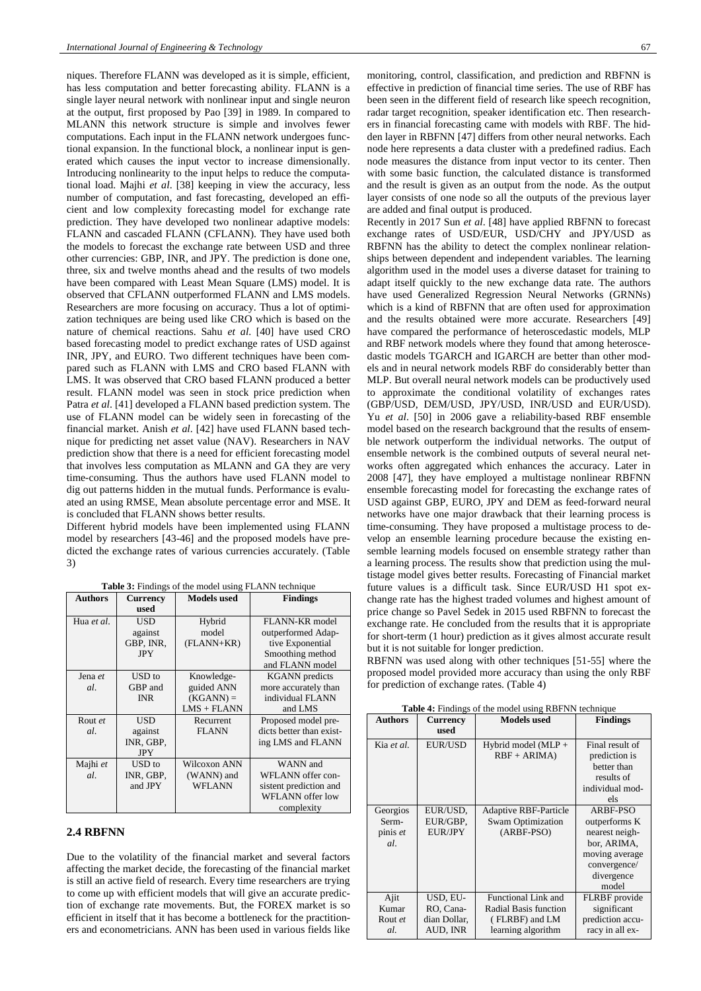niques. Therefore FLANN was developed as it is simple, efficient, has less computation and better forecasting ability. FLANN is a single layer neural network with nonlinear input and single neuron at the output, first proposed by Pao [39] in 1989. In compared to MLANN this network structure is simple and involves fewer computations. Each input in the FLANN network undergoes functional expansion. In the functional block, a nonlinear input is generated which causes the input vector to increase dimensionally. Introducing nonlinearity to the input helps to reduce the computational load. Majhi *et al*. [38] keeping in view the accuracy, less number of computation, and fast forecasting, developed an efficient and low complexity forecasting model for exchange rate prediction. They have developed two nonlinear adaptive models: FLANN and cascaded FLANN (CFLANN). They have used both the models to forecast the exchange rate between USD and three other currencies: GBP, INR, and JPY. The prediction is done one, three, six and twelve months ahead and the results of two models have been compared with Least Mean Square (LMS) model. It is observed that CFLANN outperformed FLANN and LMS models. Researchers are more focusing on accuracy. Thus a lot of optimization techniques are being used like CRO which is based on the nature of chemical reactions. Sahu *et al*. [40] have used CRO based forecasting model to predict exchange rates of USD against INR, JPY, and EURO. Two different techniques have been compared such as FLANN with LMS and CRO based FLANN with LMS. It was observed that CRO based FLANN produced a better result. FLANN model was seen in stock price prediction when Patra *et al*. [41] developed a FLANN based prediction system. The use of FLANN model can be widely seen in forecasting of the financial market. Anish *et al*. [42] have used FLANN based technique for predicting net asset value (NAV). Researchers in NAV prediction show that there is a need for efficient forecasting model that involves less computation as MLANN and GA they are very time-consuming. Thus the authors have used FLANN model to dig out patterns hidden in the mutual funds. Performance is evaluated an using RMSE, Mean absolute percentage error and MSE. It is concluded that FLANN shows better results.

Different hybrid models have been implemented using FLANN model by researchers [43-46] and the proposed models have predicted the exchange rates of various currencies accurately. (Table 3)

| <b>Table 3:</b> Findings of the model using FLANN technique |  |
|-------------------------------------------------------------|--|
|-------------------------------------------------------------|--|

| <b>Authors</b> | <b>Currency</b><br>used | <b>Models</b> used | <b>Findings</b>          |
|----------------|-------------------------|--------------------|--------------------------|
| Hua et al.     | <b>USD</b>              | Hybrid             | FLANN-KR model           |
|                | against                 | model              | outperformed Adap-       |
|                | GBP, INR,               | (FLANN+KR)         | tive Exponential         |
|                | <b>JPY</b>              |                    | Smoothing method         |
|                |                         |                    | and FLANN model          |
| Jena et        | USD to                  | Knowledge-         | <b>KGANN</b> predicts    |
| al.            | GBP and                 | guided ANN         | more accurately than     |
|                | <b>INR</b>              | $(KGANN) =$        | individual FLANN         |
|                |                         | $LMS + FLANN$      | and LMS                  |
| Rout et        | USD                     | Recurrent          | Proposed model pre-      |
| al.            | against                 | <b>FLANN</b>       | dicts better than exist- |
|                | INR, GBP,               |                    | ing LMS and FLANN        |
|                | <b>JPY</b>              |                    |                          |
| Majhi et       | USD to                  | Wilcoxon ANN       | WANN and                 |
| al.            | INR, GBP.               | (WANN) and         | WFLANN offer con-        |
|                | and JPY                 | <b>WFLANN</b>      | sistent prediction and   |
|                |                         |                    | WFLANN offer low         |
|                |                         |                    | complexity               |

# **2.4 RBFNN**

Due to the volatility of the financial market and several factors affecting the market decide, the forecasting of the financial market is still an active field of research. Every time researchers are trying to come up with efficient models that will give an accurate prediction of exchange rate movements. But, the FOREX market is so efficient in itself that it has become a bottleneck for the practitioners and econometricians. ANN has been used in various fields like

monitoring, control, classification, and prediction and RBFNN is effective in prediction of financial time series. The use of RBF has been seen in the different field of research like speech recognition, radar target recognition, speaker identification etc. Then researchers in financial forecasting came with models with RBF. The hidden layer in RBFNN [47] differs from other neural networks. Each node here represents a data cluster with a predefined radius. Each node measures the distance from input vector to its center. Then with some basic function, the calculated distance is transformed and the result is given as an output from the node. As the output layer consists of one node so all the outputs of the previous layer are added and final output is produced.

Recently in 2017 Sun *et al*. [48] have applied RBFNN to forecast exchange rates of USD/EUR, USD/CHY and JPY/USD as RBFNN has the ability to detect the complex nonlinear relationships between dependent and independent variables. The learning algorithm used in the model uses a diverse dataset for training to adapt itself quickly to the new exchange data rate. The authors have used Generalized Regression Neural Networks (GRNNs) which is a kind of RBFNN that are often used for approximation and the results obtained were more accurate. Researchers [49] have compared the performance of heteroscedastic models, MLP and RBF network models where they found that among heteroscedastic models TGARCH and IGARCH are better than other models and in neural network models RBF do considerably better than MLP. But overall neural network models can be productively used to approximate the conditional volatility of exchanges rates (GBP/USD, DEM/USD, JPY/USD, INR/USD and EUR/USD). Yu *et al*. [50] in 2006 gave a reliability-based RBF ensemble model based on the research background that the results of ensemble network outperform the individual networks. The output of ensemble network is the combined outputs of several neural networks often aggregated which enhances the accuracy. Later in 2008 [47], they have employed a multistage nonlinear RBFNN ensemble forecasting model for forecasting the exchange rates of USD against GBP, EURO, JPY and DEM as feed-forward neural networks have one major drawback that their learning process is time-consuming. They have proposed a multistage process to develop an ensemble learning procedure because the existing ensemble learning models focused on ensemble strategy rather than a learning process. The results show that prediction using the multistage model gives better results. Forecasting of Financial market future values is a difficult task. Since EUR/USD H1 spot exchange rate has the highest traded volumes and highest amount of price change so Pavel Sedek in 2015 used RBFNN to forecast the exchange rate. He concluded from the results that it is appropriate for short-term (1 hour) prediction as it gives almost accurate result but it is not suitable for longer prediction.

RBFNN was used along with other techniques [51-55] where the proposed model provided more accuracy than using the only RBF for prediction of exchange rates. (Table 4)

| <b>Authors</b> | <b>Currency</b> | <b>Models</b> used           | <b>Findings</b>  |
|----------------|-----------------|------------------------------|------------------|
|                | used            |                              |                  |
| Kia et al.     | EUR/USD         | Hybrid model ( $MLP +$       | Final result of  |
|                |                 | $RBF + ARIMA$                | prediction is    |
|                |                 |                              | better than      |
|                |                 |                              | results of       |
|                |                 |                              | individual mod-  |
|                |                 |                              | els              |
| Georgios       | EUR/USD.        | <b>Adaptive RBF-Particle</b> | ARBE-PSO         |
| Serm-          | EUR/GBP,        | <b>Swam Optimization</b>     | outperforms K    |
| pinis et       | EUR/JPY         | (ARBF-PSO)                   | nearest neigh-   |
| al.            |                 |                              | bor, ARIMA,      |
|                |                 |                              | moving average   |
|                |                 |                              | convergence/     |
|                |                 |                              | divergence       |
|                |                 |                              | model            |
| Ajit           | USD, EU-        | Functional Link and          | FLRBF provide    |
| Kumar          | RO, Cana-       | Radial Basis function        | significant      |
| Rout et        | dian Dollar.    | (FLRBF) and LM               | prediction accu- |
| al.            | AUD, INR        | learning algorithm           | racy in all ex-  |

**Table 4:** Findings of the model using RBFNN technique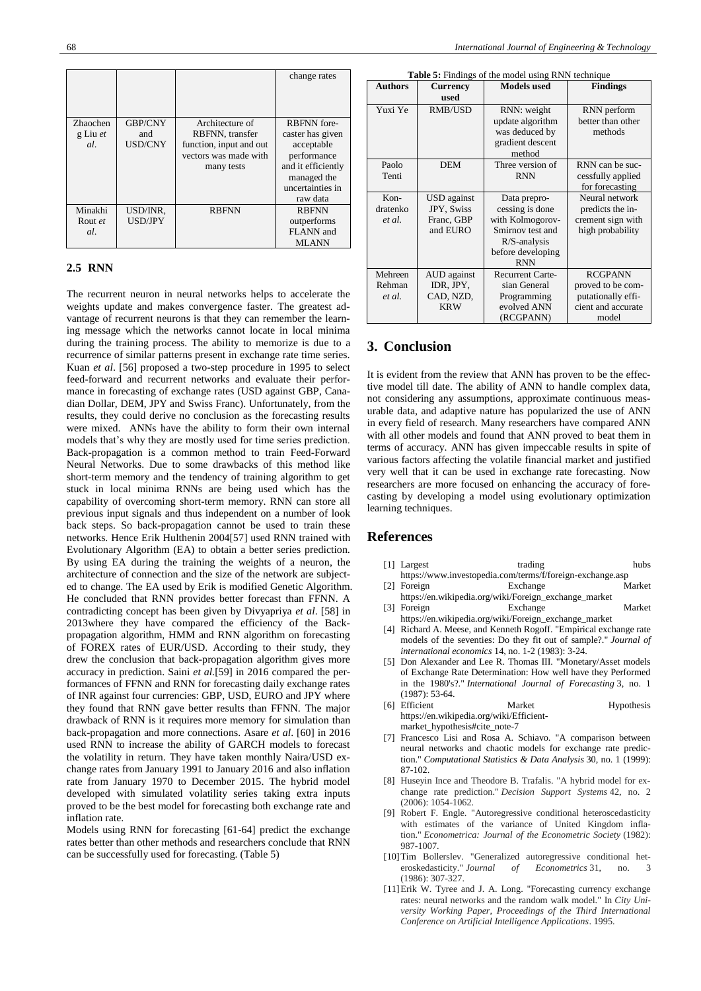|          |                |                         | change rates       |
|----------|----------------|-------------------------|--------------------|
|          |                |                         |                    |
|          |                |                         |                    |
| Zhaochen | <b>GBP/CNY</b> | Architecture of         | <b>RBFNN</b> fore- |
| g Liu et | and            | RBFNN, transfer         | caster has given   |
| al.      | <b>USD/CNY</b> | function, input and out | acceptable         |
|          |                | vectors was made with   | performance        |
|          |                | many tests              | and it efficiently |
|          |                |                         | managed the        |
|          |                |                         | uncertainties in   |
|          |                |                         | raw data           |
| Minakhi  | USD/INR,       | <b>RBFNN</b>            | <b>RBFNN</b>       |
| Rout et  | <b>USD/JPY</b> |                         | outperforms        |
| al.      |                |                         | FLANN and          |
|          |                |                         | <b>MLANN</b>       |

# **2.5 RNN**

The recurrent neuron in neural networks helps to accelerate the weights update and makes convergence faster. The greatest advantage of recurrent neurons is that they can remember the learning message which the networks cannot locate in local minima during the training process. The ability to memorize is due to a recurrence of similar patterns present in exchange rate time series. Kuan *et al*. [56] proposed a two-step procedure in 1995 to select feed-forward and recurrent networks and evaluate their performance in forecasting of exchange rates (USD against GBP, Canadian Dollar, DEM, JPY and Swiss Franc). Unfortunately, from the results, they could derive no conclusion as the forecasting results were mixed. ANNs have the ability to form their own internal models that's why they are mostly used for time series prediction. Back-propagation is a common method to train Feed-Forward Neural Networks. Due to some drawbacks of this method like short-term memory and the tendency of training algorithm to get stuck in local minima RNNs are being used which has the capability of overcoming short-term memory. RNN can store all previous input signals and thus independent on a number of look back steps. So back-propagation cannot be used to train these networks. Hence Erik Hulthenin 2004[57] used RNN trained with Evolutionary Algorithm (EA) to obtain a better series prediction. By using EA during the training the weights of a neuron, the architecture of connection and the size of the network are subjected to change. The EA used by Erik is modified Genetic Algorithm. He concluded that RNN provides better forecast than FFNN. A contradicting concept has been given by Divyapriya *et al*. [58] in 2013where they have compared the efficiency of the Backpropagation algorithm, HMM and RNN algorithm on forecasting of FOREX rates of EUR/USD. According to their study, they drew the conclusion that back-propagation algorithm gives more accuracy in prediction. Saini *et al.*[59] in 2016 compared the performances of FFNN and RNN for forecasting daily exchange rates of INR against four currencies: GBP, USD, EURO and JPY where they found that RNN gave better results than FFNN. The major drawback of RNN is it requires more memory for simulation than back-propagation and more connections. Asare *et al*. [60] in 2016 used RNN to increase the ability of GARCH models to forecast the volatility in return. They have taken monthly Naira/USD exchange rates from January 1991 to January 2016 and also inflation rate from January 1970 to December 2015. The hybrid model developed with simulated volatility series taking extra inputs proved to be the best model for forecasting both exchange rate and inflation rate.

Models using RNN for forecasting [61-64] predict the exchange rates better than other methods and researchers conclude that RNN can be successfully used for forecasting. (Table 5)

| <b>Table 5:</b> Findings of the model using RNN technique |                 |                         |                    |
|-----------------------------------------------------------|-----------------|-------------------------|--------------------|
| <b>Authors</b>                                            | <b>Currency</b> | <b>Models</b> used      | <b>Findings</b>    |
|                                                           | used            |                         |                    |
| Yuxi Ye                                                   | <b>RMB/USD</b>  | RNN: weight             | RNN perform        |
|                                                           |                 | update algorithm        | better than other  |
|                                                           |                 | was deduced by          | methods            |
|                                                           |                 | gradient descent        |                    |
|                                                           |                 | method                  |                    |
| Paolo                                                     | <b>DEM</b>      | Three version of        | RNN can be suc-    |
| Tenti                                                     |                 | <b>RNN</b>              | cessfully applied  |
|                                                           |                 |                         | for forecasting    |
| $Kon-$                                                    | USD against     | Data prepro-            | Neural network     |
| dratenko                                                  | JPY, Swiss      | cessing is done         | predicts the in-   |
| et al.                                                    | Franc, GBP      | with Kolmogorov-        | crement sign with  |
|                                                           | and EURO        | Smirnov test and        | high probability   |
|                                                           |                 | $R/S$ -analysis         |                    |
|                                                           |                 | before developing       |                    |
|                                                           |                 | <b>RNN</b>              |                    |
| Mehreen                                                   | AUD against     | <b>Recurrent Carte-</b> | <b>RCGPANN</b>     |
| Rehman                                                    | IDR, JPY,       | sian General            | proved to be com-  |
| et al.                                                    | CAD, NZD,       | Programming             | putationally effi- |
|                                                           | <b>KRW</b>      | evolved ANN             | cient and accurate |
|                                                           |                 | (RCGPANN)               | model              |

# **3. Conclusion**

It is evident from the review that ANN has proven to be the effective model till date. The ability of ANN to handle complex data, not considering any assumptions, approximate continuous measurable data, and adaptive nature has popularized the use of ANN in every field of research. Many researchers have compared ANN with all other models and found that ANN proved to beat them in terms of accuracy. ANN has given impeccable results in spite of various factors affecting the volatile financial market and justified very well that it can be used in exchange rate forecasting. Now researchers are more focused on enhancing the accuracy of forecasting by developing a model using evolutionary optimization learning techniques.

## **References**

- [1] Largest trading trading hubs https://www.investopedia.com/terms/f/foreign-exchange.asp
- [2] Foreign Exchange Market https://en.wikipedia.org/wiki/Foreign\_exchange\_market
- [3] Foreign Exchange Market https://en.wikipedia.org/wiki/Foreign\_exchange\_market
- [4] Richard A. Meese, and Kenneth Rogoff. "Empirical exchange rate models of the seventies: Do they fit out of sample?." *Journal of international economics* 14, no. 1-2 (1983): 3-24.
- [5] Don Alexander and Lee R. Thomas III. "Monetary/Asset models of Exchange Rate Determination: How well have they Performed in the 1980's?." *International Journal of Forecasting* 3, no. 1 (1987): 53-64.
- [6] Efficient Market Hypothesis https://en.wikipedia.org/wiki/Efficientmarket\_hypothesis#cite\_note-7
- [7] Francesco Lisi and Rosa A. Schiavo. "A comparison between neural networks and chaotic models for exchange rate prediction." *Computational Statistics & Data Analysis* 30, no. 1 (1999): 87-102.
- [8] Huseyin Ince and Theodore B. Trafalis. "A hybrid model for exchange rate prediction." *Decision Support Systems* 42, no. 2 (2006): 1054-1062.
- [9] Robert F. Engle. "Autoregressive conditional heteroscedasticity with estimates of the variance of United Kingdom inflation." *Econometrica: Journal of the Econometric Society* (1982): 987-1007.
- [10]Tim Bollerslev. "Generalized autoregressive conditional heteroskedasticity." *Journal of Econometrics* 31, no. 3 (1986): 307-327.
- [11]Erik W. Tyree and J. A. Long. "Forecasting currency exchange rates: neural networks and the random walk model." In *City University Working Paper, Proceedings of the Third International Conference on Artificial Intelligence Applications*. 1995.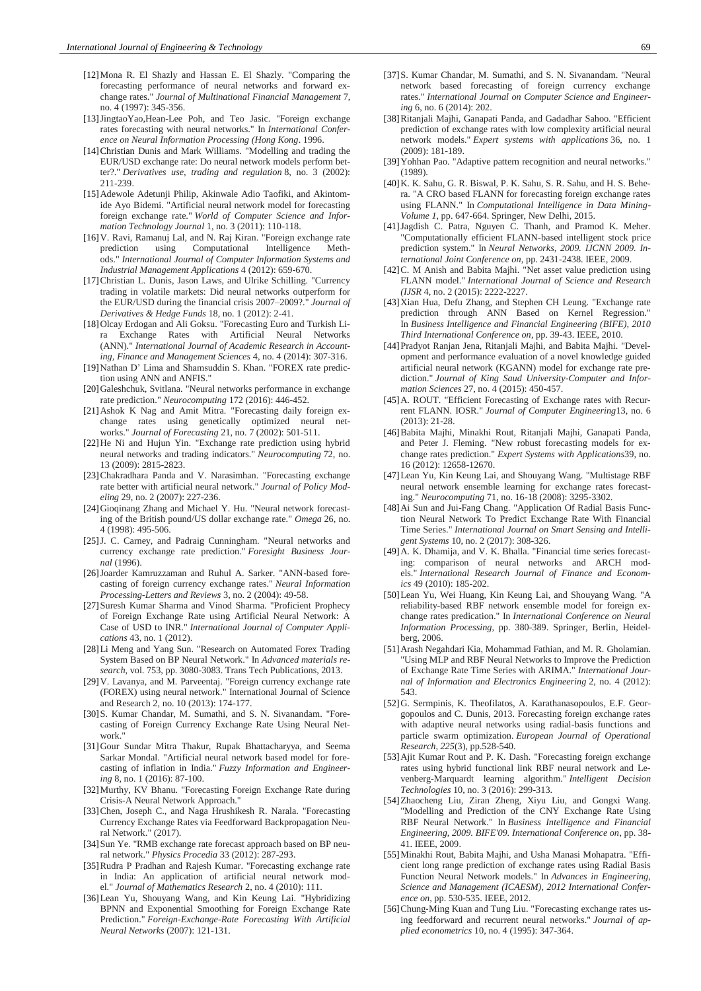- [12]Mona R. El Shazly and Hassan E. El Shazly. "Comparing the forecasting performance of neural networks and forward exchange rates." *Journal of Multinational Financial Management* 7, no. 4 (1997): 345-356.
- [13]JingtaoYao,Hean-Lee Poh, and Teo Jasic. "Foreign exchange rates forecasting with neural networks." In *International Conference on Neural Information Processing (Hong Kong*. 1996.
- [14]Christian Dunis and Mark Williams. "Modelling and trading the EUR/USD exchange rate: Do neural network models perform better?." *Derivatives use, trading and regulation* 8, no. 3 (2002): 211-239.
- [15]Adewole Adetunji Philip, Akinwale Adio Taofiki, and Akintomide Ayo Bidemi. "Artificial neural network model for forecasting foreign exchange rate." *World of Computer Science and Information Technology Journal* 1, no. 3 (2011): 110-118.
- [16]V. Ravi, Ramanuj Lal, and N. Raj Kiran. "Foreign exchange rate prediction using Computational Intelligence Methods." *International Journal of Computer Information Systems and Industrial Management Applications* 4 (2012): 659-670.
- [17]Christian L. Dunis, Jason Laws, and Ulrike Schilling. "Currency trading in volatile markets: Did neural networks outperform for the EUR/USD during the financial crisis 2007–2009?." *Journal of Derivatives & Hedge Funds* 18, no. 1 (2012): 2-41.
- [18]Olcay Erdogan and Ali Goksu. "Forecasting Euro and Turkish Lira Exchange Rates with Artificial Neural Networks (ANN)." *International Journal of Academic Research in Accounting, Finance and Management Sciences* 4, no. 4 (2014): 307-316.
- [19]Nathan D' Lima and Shamsuddin S. Khan. "FOREX rate prediction using ANN and ANFIS."
- [20]Galeshchuk, Svitlana. "Neural networks performance in exchange rate prediction." *Neurocomputing* 172 (2016): 446-452.
- [21]Ashok K Nag and Amit Mitra. "Forecasting daily foreign exchange rates using genetically optimized neural networks." *Journal of Forecasting* 21, no. 7 (2002): 501-511.
- [22]He Ni and Hujun Yin. "Exchange rate prediction using hybrid neural networks and trading indicators." *Neurocomputing* 72, no. 13 (2009): 2815-2823.
- [23]Chakradhara Panda and V. Narasimhan. "Forecasting exchange rate better with artificial neural network." *Journal of Policy Modeling* 29, no. 2 (2007): 227-236.
- [24]Gioqinang Zhang and Michael Y. Hu. "Neural network forecasting of the British pound/US dollar exchange rate." *Omega* 26, no. 4 (1998): 495-506.
- [25]J. C. Carney, and Padraig Cunningham. "Neural networks and currency exchange rate prediction." *Foresight Business Journal* (1996).
- [26]Joarder Kamruzzaman and Ruhul A. Sarker. "ANN-based forecasting of foreign currency exchange rates." *Neural Information Processing-Letters and Reviews* 3, no. 2 (2004): 49-58.
- [27]Suresh Kumar Sharma and Vinod Sharma. "Proficient Prophecy of Foreign Exchange Rate using Artificial Neural Network: A Case of USD to INR." *International Journal of Computer Applications* 43, no. 1 (2012).
- [28]Li Meng and Yang Sun. "Research on Automated Forex Trading System Based on BP Neural Network." In *Advanced materials research*, vol. 753, pp. 3080-3083. Trans Tech Publications, 2013.
- [29]V. Lavanya, and M. Parveentaj. "Foreign currency exchange rate (FOREX) using neural network." International Journal of Science and Research 2, no. 10 (2013): 174-177.
- [30] S. Kumar Chandar, M. Sumathi, and S. N. Sivanandam. "Forecasting of Foreign Currency Exchange Rate Using Neural Network.
- [31]Gour Sundar Mitra Thakur, Rupak Bhattacharyya, and Seema Sarkar Mondal. "Artificial neural network based model for forecasting of inflation in India." *Fuzzy Information and Engineering* 8, no. 1 (2016): 87-100.
- [32]Murthy, KV Bhanu. "Forecasting Foreign Exchange Rate during Crisis-A Neural Network Approach."
- [33]Chen, Joseph C., and Naga Hrushikesh R. Narala. "Forecasting Currency Exchange Rates via Feedforward Backpropagation Neural Network." (2017).
- [34]Sun Ye. "RMB exchange rate forecast approach based on BP neural network." *Physics Procedia* 33 (2012): 287-293.
- [35]Rudra P Pradhan and Rajesh Kumar. "Forecasting exchange rate in India: An application of artificial neural network model." *Journal of Mathematics Research* 2, no. 4 (2010): 111.
- [36]Lean Yu, Shouyang Wang, and Kin Keung Lai. "Hybridizing BPNN and Exponential Smoothing for Foreign Exchange Rate Prediction." *Foreign-Exchange-Rate Forecasting With Artificial Neural Networks* (2007): 121-131.
- [37]S. Kumar Chandar, M. Sumathi, and S. N. Sivanandam. "Neural network based forecasting of foreign currency exchange rates." *International Journal on Computer Science and Engineering* 6, no. 6 (2014): 202.
- [38]Ritanjali Majhi, Ganapati Panda, and Gadadhar Sahoo. "Efficient prediction of exchange rates with low complexity artificial neural network models." *Expert systems with applications* 36, no. 1 (2009): 181-189.
- [39]Yohhan Pao. "Adaptive pattern recognition and neural networks." (1989).
- [40]K. K. Sahu, G. R. Biswal, P. K. Sahu, S. R. Sahu, and H. S. Behera. "A CRO based FLANN for forecasting foreign exchange rates using FLANN." In *Computational Intelligence in Data Mining-Volume 1*, pp. 647-664. Springer, New Delhi, 2015.
- [41]Jagdish C. Patra, Nguyen C. Thanh, and Pramod K. Meher. "Computationally efficient FLANN-based intelligent stock price prediction system." In *Neural Networks, 2009. IJCNN 2009. International Joint Conference on*, pp. 2431-2438. IEEE, 2009.
- [42]C. M Anish and Babita Majhi. "Net asset value prediction using FLANN model." *International Journal of Science and Research (IJSR* 4, no. 2 (2015): 2222-2227.
- [43]Xian Hua, Defu Zhang, and Stephen CH Leung. "Exchange rate prediction through ANN Based on Kernel Regression." In *Business Intelligence and Financial Engineering (BIFE), 2010 Third International Conference on*, pp. 39-43. IEEE, 2010.
- [44]Pradyot Ranjan Jena, Ritanjali Majhi, and Babita Majhi. "Development and performance evaluation of a novel knowledge guided artificial neural network (KGANN) model for exchange rate prediction." *Journal of King Saud University-Computer and Information Sciences* 27, no. 4 (2015): 450-457.
- [45]A. ROUT. "Efficient Forecasting of Exchange rates with Recurrent FLANN. IOSR." *Journal of Computer Engineering*13, no. 6 (2013): 21-28.
- [46]Babita Majhi, Minakhi Rout, Ritanjali Majhi, Ganapati Panda, and Peter J. Fleming. "New robust forecasting models for exchange rates prediction." *Expert Systems with Applications*39, no. 16 (2012): 12658-12670.
- [47]Lean Yu, Kin Keung Lai, and Shouyang Wang. "Multistage RBF neural network ensemble learning for exchange rates forecasting." *Neurocomputing* 71, no. 16-18 (2008): 3295-3302.
- [48]Ai Sun and Jui-Fang Chang. "Application Of Radial Basis Function Neural Network To Predict Exchange Rate With Financial Time Series." *International Journal on Smart Sensing and Intelligent Systems* 10, no. 2 (2017): 308-326.
- [49]A. K. Dhamija, and V. K. Bhalla. "Financial time series forecasting: comparison of neural networks and ARCH models." *International Research Journal of Finance and Economics* 49 (2010): 185-202.
- [50]Lean Yu, Wei Huang, Kin Keung Lai, and Shouyang Wang. "A reliability-based RBF network ensemble model for foreign exchange rates predication." In *International Conference on Neural Information Processing*, pp. 380-389. Springer, Berlin, Heidelberg, 2006.
- [51]Arash Negahdari Kia, Mohammad Fathian, and M. R. Gholamian. "Using MLP and RBF Neural Networks to Improve the Prediction of Exchange Rate Time Series with ARIMA." *International Journal of Information and Electronics Engineering* 2, no. 4 (2012): 543.
- [52]G. Sermpinis, K. Theofilatos, A. Karathanasopoulos, E.F. Georgopoulos and C. Dunis, 2013. Forecasting foreign exchange rates with adaptive neural networks using radial-basis functions and particle swarm optimization. *European Journal of Operational Research*, *225*(3), pp.528-540.
- [53]Ajit Kumar Rout and P. K. Dash. "Forecasting foreign exchange rates using hybrid functional link RBF neural network and Levenberg-Marquardt learning algorithm." *Intelligent Decision Technologies* 10, no. 3 (2016): 299-313.
- [54]Zhaocheng Liu, Ziran Zheng, Xiyu Liu, and Gongxi Wang. "Modelling and Prediction of the CNY Exchange Rate Using RBF Neural Network." In *Business Intelligence and Financial Engineering, 2009. BIFE'09. International Conference on*, pp. 38- 41. IEEE, 2009.
- [55]Minakhi Rout, Babita Majhi, and Usha Manasi Mohapatra. "Efficient long range prediction of exchange rates using Radial Basis Function Neural Network models." In *Advances in Engineering, Science and Management (ICAESM), 2012 International Conference on*, pp. 530-535. IEEE, 2012.
- [56]Chung‐Ming Kuan and Tung Liu. "Forecasting exchange rates using feedforward and recurrent neural networks." *Journal of applied econometrics* 10, no. 4 (1995): 347-364.